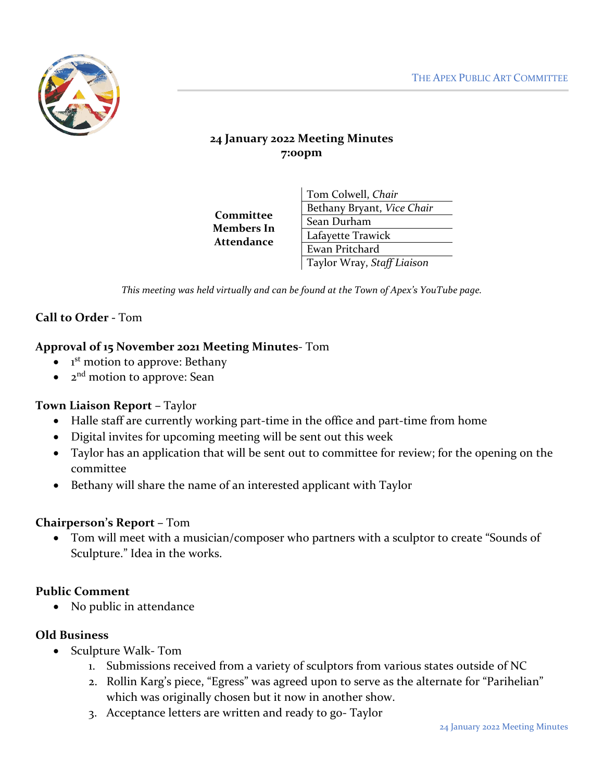

# **24 January 2022 Meeting Minutes 7:00pm**

**Committee Members In Attendance**

Tom Colwell, *Chair* Bethany Bryant, *Vice Chair* Sean Durham Lafayette Trawick Ewan Pritchard Taylor Wray, *Staff Liaison*

*This meeting was held virtually and can be found at the Town of Apex's YouTube page.*

# **Call to Order -** Tom

#### **Approval of 15 November 2021 Meeting Minutes**- Tom

- $\bullet$ 1<sup>st</sup> motion to approve: Bethany
- 2nd motion to approve: Sean

#### **Town Liaison Report –** Taylor

- Halle staff are currently working part-time in the office and part-time from home
- Digital invites for upcoming meeting will be sent out this week
- Taylor has an application that will be sent out to committee for review; for the opening on the committee
- Bethany will share the name of an interested applicant with Taylor

#### **Chairperson's Report –** Tom

• Tom will meet with a musician/composer who partners with a sculptor to create "Sounds of Sculpture." Idea in the works.

#### **Public Comment**

• No public in attendance

#### **Old Business**

- Sculpture Walk- Tom
	- 1. Submissions received from a variety of sculptors from various states outside of NC
	- 2. Rollin Karg's piece, "Egress" was agreed upon to serve as the alternate for "Parihelian" which was originally chosen but it now in another show.
	- 3. Acceptance letters are written and ready to go- Taylor